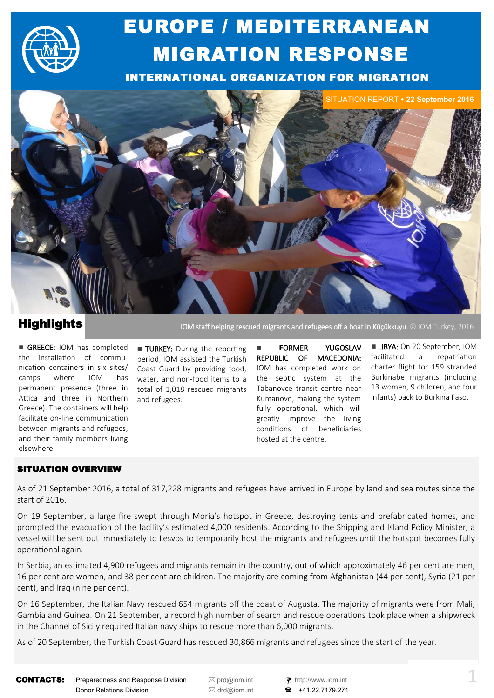

## EUROPE / MEDITERRANEAN MIGRATION RESPONSE

INTERNATIONAL ORGANIZATION FOR MIGRATION



## **Highlights**

GREECE: IOM has completed the installation of communication containers in six sites/ camps where IOM has permanent presence (three in Attica and three in Northern Greece). The containers will help facilitate on-line communication between migrants and refugees, and their family members living elsewhere.

**TURKEY:** During the reporting period, IOM assisted the Turkish Coast Guard by providing food, water, and non-food items to a total of 1,018 rescued migrants and refugees.

**FORMER YUGOSLAV** REPUBLIC OF MACEDONIA: IOM has completed work on the septic system at the Tabanovce transit centre near Kumanovo, making the system fully operational, which will greatly improve the living conditions of beneficiaries hosted at the centre.

IOM staff helping rescued migrants and refugees off a boat in Küçükkuyu. © IOM Turkey, 2016

**LIBYA:** On 20 September, IOM facilitated a repatriation charter flight for 159 stranded Burkinabe migrants (including 13 women, 9 children, and four infants) back to Burkina Faso.

## SITUATION OVERVIEW

As of 21 September 2016, a total of 317,228 migrants and refugees have arrived in Europe by land and sea routes since the start of 2016.

On 19 September, a large fire swept through Moria's hotspot in Greece, destroying tents and prefabricated homes, and prompted the evacuation of the facility's estimated 4,000 residents. According to the Shipping and Island Policy Minister, a vessel will be sent out immediately to Lesvos to temporarily host the migrants and refugees until the hotspot becomes fully operational again.

In Serbia, an estimated 4,900 refugees and migrants remain in the country, out of which approximately 46 per cent are men, 16 per cent are women, and 38 per cent are children. The majority are coming from Afghanistan (44 per cent), Syria (21 per cent), and Iraq (nine per cent).

On 16 September, the Italian Navy rescued 654 migrants off the coast of Augusta. The majority of migrants were from Mali, Gambia and Guinea. On 21 September, a record high number of search and rescue operations took place when a shipwreck in the Channel of Sicily required Italian navy ships to rescue more than 6,000 migrants.

As of 20 September, the Turkish Coast Guard has rescued 30,866 migrants and refugees since the start of the year.

CONTACTS: Preparedness and Response Division <br>
■ [prd@iom.int](mailto:prd@IOM.INT) (↑ [http://www.iom.int](http://www.iom.int/) Donor Relations Division **departum EX** [drd@iom.int](mailto:DRD@IOM.INT) **a** +41.22.7179.271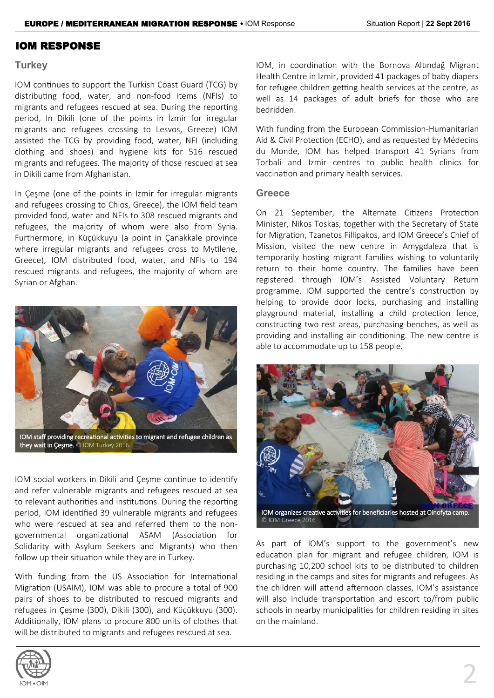### IOM RESPONSE

### **Turkey**

IOM continues to support the Turkish Coast Guard (TCG) by distributing food, water, and non-food items (NFIs) to migrants and refugees rescued at sea. During the reporting period, In Dikili (one of the points in İzmir for irregular migrants and refugees crossing to Lesvos, Greece) IOM assisted the TCG by providing food, water, NFI (including clothing and shoes) and hygiene kits for 516 rescued migrants and refugees. The majority of those rescued at sea in Dikili came from Afghanistan.

In Çeşme (one of the points in Izmir for irregular migrants and refugees crossing to Chios, Greece), the IOM field team provided food, water and NFIs to 308 rescued migrants and refugees, the majority of whom were also from Syria. Furthermore, in Küçükkuyu (a point in Çanakkale province where irregular migrants and refugees cross to Mytilene, Greece), IOM distributed food, water, and NFIs to 194 rescued migrants and refugees, the majority of whom are Syrian or Afghan.



they wait in Çeşme. © IOM Turkey 2016

IOM social workers in Dikili and Çeşme continue to identify and refer vulnerable migrants and refugees rescued at sea to relevant authorities and institutions. During the reporting period, IOM identified 39 vulnerable migrants and refugees who were rescued at sea and referred them to the nongovernmental organizational ASAM (Association for Solidarity with Asylum Seekers and Migrants) who then follow up their situation while they are in Turkey.

With funding from the US Association for International Migration (USAIM), IOM was able to procure a total of 900 pairs of shoes to be distributed to rescued migrants and refugees in Çeşme (300), Dikili (300), and Küçükkuyu (300). Additionally, IOM plans to procure 800 units of clothes that will be distributed to migrants and refugees rescued at sea.



With funding from the European Commission-Humanitarian Aid & Civil Protection (ECHO), and as requested by Médecins du Monde, IOM has helped transport 41 Syrians from Torbali and Izmir centres to public health clinics for vaccination and primary health services.

### **Greece**

On 21 September, the Alternate Citizens Protection Minister, Nikos Toskas, together with the Secretary of State for Migration, Tzanetos Fillipakos, and IOM Greece's Chief of Mission, visited the new centre in Amygdaleza that is temporarily hosting migrant families wishing to voluntarily return to their home country. The families have been registered through IOM's Assisted Voluntary Return programme. IOM supported the centre's construction by helping to provide door locks, purchasing and installing playground material, installing a child protection fence, constructing two rest areas, purchasing benches, as well as providing and installing air conditioning. The new centre is able to accommodate up to 158 people.



As part of IOM's support to the government's new education plan for migrant and refugee children, IOM is purchasing 10,200 school kits to be distributed to children residing in the camps and sites for migrants and refugees. As the children will attend afternoon classes, IOM's assistance will also include transportation and escort to/from public schools in nearby municipalities for children residing in sites on the mainland.

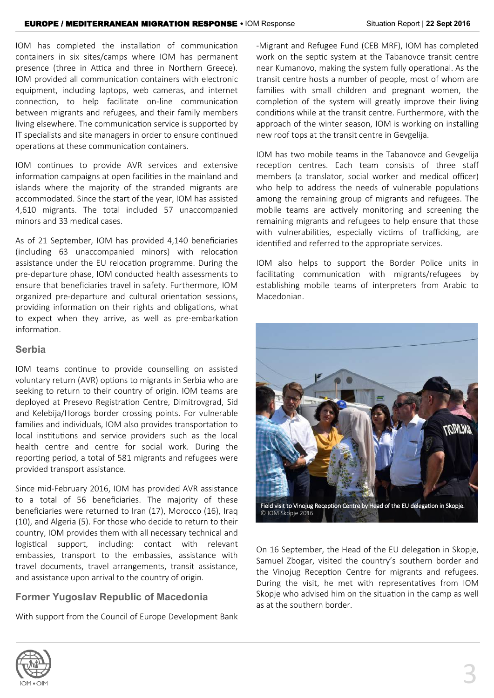IOM has completed the installation of communication containers in six sites/camps where IOM has permanent presence (three in Attica and three in Northern Greece). IOM provided all communication containers with electronic equipment, including laptops, web cameras, and internet connection, to help facilitate on-line communication between migrants and refugees, and their family members living elsewhere. The communication service is supported by IT specialists and site managers in order to ensure continued operations at these communication containers.

IOM continues to provide AVR services and extensive information campaigns at open facilities in the mainland and islands where the majority of the stranded migrants are accommodated. Since the start of the year, IOM has assisted 4,610 migrants. The total included 57 unaccompanied minors and 33 medical cases.

As of 21 September, IOM has provided 4,140 beneficiaries (including 63 unaccompanied minors) with relocation assistance under the EU relocation programme. During the pre-departure phase, IOM conducted health assessments to ensure that beneficiaries travel in safety. Furthermore, IOM organized pre-departure and cultural orientation sessions, providing information on their rights and obligations, what to expect when they arrive, as well as pre-embarkation information.

### **Serbia**

IOM teams continue to provide counselling on assisted voluntary return (AVR) options to migrants in Serbia who are seeking to return to their country of origin. IOM teams are deployed at Presevo Registration Centre, Dimitrovgrad, Sid and Kelebija/Horogs border crossing points. For vulnerable families and individuals, IOM also provides transportation to local institutions and service providers such as the local health centre and centre for social work. During the reporting period, a total of 581 migrants and refugees were provided transport assistance.

Since mid-February 2016, IOM has provided AVR assistance to a total of 56 beneficiaries. The majority of these beneficiaries were returned to Iran (17), Morocco (16), Iraq (10), and Algeria (5). For those who decide to return to their country, IOM provides them with all necessary technical and logistical support, including: contact with relevant embassies, transport to the embassies, assistance with travel documents, travel arrangements, transit assistance, and assistance upon arrival to the country of origin.

## **Former Yugoslav Republic of Macedonia**

With support from the Council of Europe Development Bank

-Migrant and Refugee Fund (CEB MRF), IOM has completed work on the septic system at the Tabanovce transit centre near Kumanovo, making the system fully operational. As the transit centre hosts a number of people, most of whom are families with small children and pregnant women, the completion of the system will greatly improve their living conditions while at the transit centre. Furthermore, with the approach of the winter season, IOM is working on installing new roof tops at the transit centre in Gevgelija.

IOM has two mobile teams in the Tabanovce and Gevgelija reception centres. Each team consists of three staff members (a translator, social worker and medical officer) who help to address the needs of vulnerable populations among the remaining group of migrants and refugees. The mobile teams are actively monitoring and screening the remaining migrants and refugees to help ensure that those with vulnerabilities, especially victims of trafficking, are identified and referred to the appropriate services.

IOM also helps to support the Border Police units in facilitating communication with migrants/refugees by establishing mobile teams of interpreters from Arabic to Macedonian.

![](_page_2_Picture_13.jpeg)

On 16 September, the Head of the EU delegation in Skopje, Samuel Zbogar, visited the country's southern border and the Vinojug Reception Centre for migrants and refugees. During the visit, he met with representatives from IOM Skopje who advised him on the situation in the camp as well as at the southern border.

![](_page_2_Picture_15.jpeg)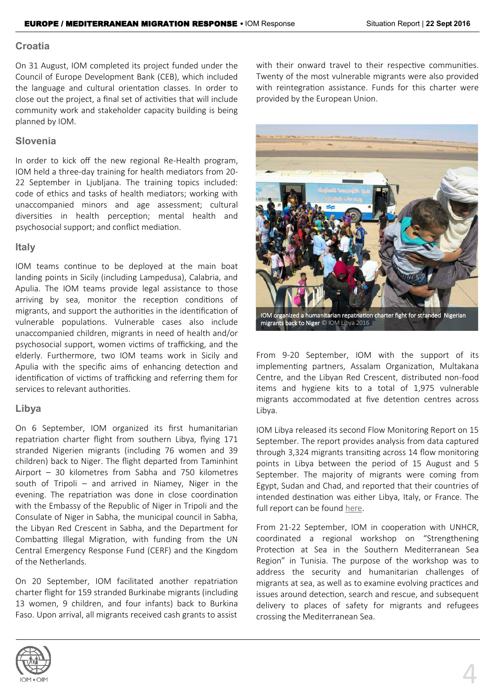### **Croatia**

On 31 August, IOM completed its project funded under the Council of Europe Development Bank (CEB), which included the language and cultural orientation classes. In order to close out the project, a final set of activities that will include community work and stakeholder capacity building is being planned by IOM.

## **Slovenia**

In order to kick off the new regional Re-Health program, IOM held a three-day training for health mediators from 20- 22 September in Ljubljana. The training topics included: code of ethics and tasks of health mediators; working with unaccompanied minors and age assessment; cultural diversities in health perception; mental health and psychosocial support; and conflict mediation.

## **Italy**

IOM teams continue to be deployed at the main boat landing points in Sicily (including Lampedusa), Calabria, and Apulia. The IOM teams provide legal assistance to those arriving by sea, monitor the reception conditions of migrants, and support the authorities in the identification of vulnerable populations. Vulnerable cases also include unaccompanied children, migrants in need of health and/or psychosocial support, women victims of trafficking, and the elderly. Furthermore, two IOM teams work in Sicily and Apulia with the specific aims of enhancing detection and identification of victims of trafficking and referring them for services to relevant authorities.

## **Libya**

On 6 September, IOM organized its first humanitarian repatriation charter flight from southern Libya, flying 171 stranded Nigerien migrants (including 76 women and 39 children) back to Niger. The flight departed from Taminhint Airport – 30 kilometres from Sabha and 750 kilometres south of Tripoli – and arrived in Niamey, Niger in the evening. The repatriation was done in close coordination with the Embassy of the Republic of Niger in Tripoli and the Consulate of Niger in Sabha, the municipal council in Sabha, the Libyan Red Crescent in Sabha, and the Department for Combatting Illegal Migration, with funding from the UN Central Emergency Response Fund (CERF) and the Kingdom of the Netherlands.

On 20 September, IOM facilitated another repatriation charter flight for 159 stranded Burkinabe migrants (including 13 women, 9 children, and four infants) back to Burkina Faso. Upon arrival, all migrants received cash grants to assist

![](_page_3_Picture_11.jpeg)

![](_page_3_Picture_12.jpeg)

From 9-20 September, IOM with the support of its implementing partners, Assalam Organization, Multakana Centre, and the Libyan Red Crescent, distributed non-food items and hygiene kits to a total of 1,975 vulnerable migrants accommodated at five detention centres across Libya.

IOM Libya released its second Flow Monitoring Report on 15 September. The report provides analysis from data captured through 3,324 migrants transiting across 14 flow monitoring points in Libya between the period of 15 August and 5 September. The majority of migrants were coming from Egypt, Sudan and Chad, and reported that their countries of intended destination was either Libya, Italy, or France. The full report can be found [here.](http://migration.iom.int/docs/DTM%20Libya%20Flow%20Monitoring%20Statistical%20Report2%2015%20Aug%20-%204%20Sep.pdf)

From 21-22 September, IOM in cooperation with UNHCR, coordinated a regional workshop on "Strengthening Protection at Sea in the Southern Mediterranean Sea Region" in Tunisia. The purpose of the workshop was to address the security and humanitarian challenges of migrants at sea, as well as to examine evolving practices and issues around detection, search and rescue, and subsequent delivery to places of safety for migrants and refugees crossing the Mediterranean Sea.

![](_page_3_Picture_16.jpeg)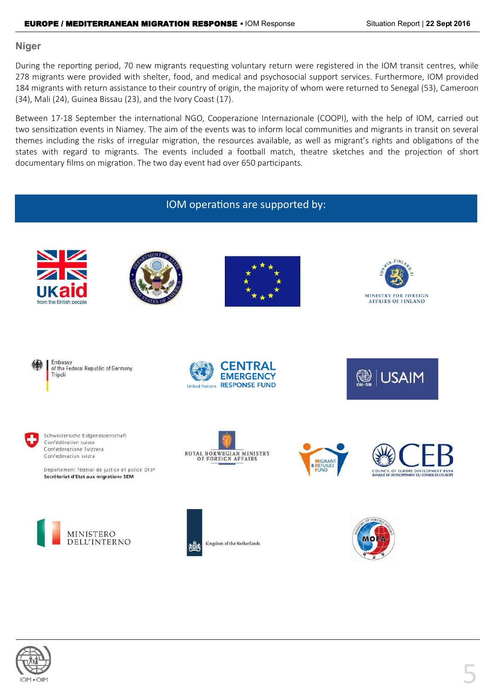### **Niger**

During the reporting period, 70 new migrants requesting voluntary return were registered in the IOM transit centres, while 278 migrants were provided with shelter, food, and medical and psychosocial support services. Furthermore, IOM provided 184 migrants with return assistance to their country of origin, the majority of whom were returned to Senegal (53), Cameroon (34), Mali (24), Guinea Bissau (23), and the Ivory Coast (17).

Between 17-18 September the international NGO, Cooperazione Internazionale (COOPI), with the help of IOM, carried out two sensitization events in Niamey. The aim of the events was to inform local communities and migrants in transit on several themes including the risks of irregular migration, the resources available, as well as migrant's rights and obligations of the states with regard to migrants. The events included a football match, theatre sketches and the projection of short documentary films on migration. The two day event had over 650 participants.

# IOM operations are supported by:**MINISTRY FOR FOREIGN AFFAIRS OF FINLAND**

![](_page_4_Picture_6.jpeg)

from the British people

![](_page_4_Picture_7.jpeg)

![](_page_4_Picture_8.jpeg)

![](_page_4_Picture_9.jpeg)

Schweizerische Eidgenossenschaft Confédération suisse Confederazione Svizzera Confederaziun svizra

Département fédéral de justice et police DFJP Secrétariat d'Etat aux migrations SEM

![](_page_4_Picture_12.jpeg)

![](_page_4_Picture_13.jpeg)

![](_page_4_Picture_14.jpeg)

![](_page_4_Picture_15.jpeg)

![](_page_4_Picture_16.jpeg)

![](_page_4_Picture_17.jpeg)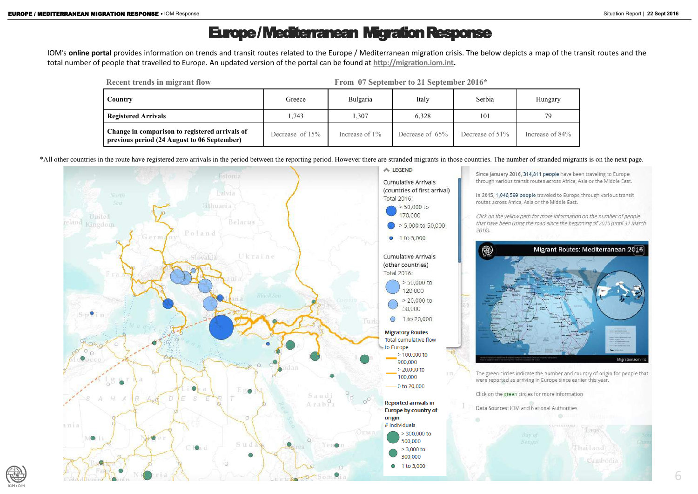## Europe / Mediterranean Migration Response

6

IOM's **online portal** provides information on trends and transit routes related to the Europe / Mediterranean migration crisis. The below depicts a map of the transit routes and the total number of people that travelled to Europe. An updated version of the portal can be found at **[http://migration.iom.int.](http://migration.iom.int)** 

\*All other countries in the route have registered zero arrivals in the period between the reporting period. However there are stranded migrants in those countries. The number of stranded migrants is on the next page.

![](_page_5_Figure_5.jpeg)

![](_page_5_Picture_6.jpeg)

| <b>Recent trends in migrant flow</b>                                                          |                   |                   | From 07 September to 21 September 2016* |                 |               |  |
|-----------------------------------------------------------------------------------------------|-------------------|-------------------|-----------------------------------------|-----------------|---------------|--|
| Country                                                                                       | Greece            | Bulgaria          | Italy                                   | Serbia          | Hungary       |  |
| <b>Registered Arrivals</b>                                                                    | 1,743             | 1,307             | 6,328                                   | 101             | 79            |  |
| Change in comparison to registered arrivals of<br>previous period (24 August to 06 September) | Decrease of $15%$ | Increase of $1\%$ | Decrease of 65%                         | Decrease of 51% | Increase of 8 |  |

![](_page_5_Picture_9.jpeg)

Since January 2016, 314,811 people have been traveling to Europe through various transit routes across Africa, Asia or the Middle East.

In 2015, 1,046,599 people traveled to Europe through various transit routes across Africa, Asia or the Middle East.

Click on the yellow path for more information on the number of people that have been using the road since the beginning of 2016 (until 31 March

![](_page_5_Picture_14.jpeg)

The green circles indicate the number and country of origin for people that were reported as arriving in Europe since earlier this year.

Fhailand

Cambodia

Click on the green circles for more information